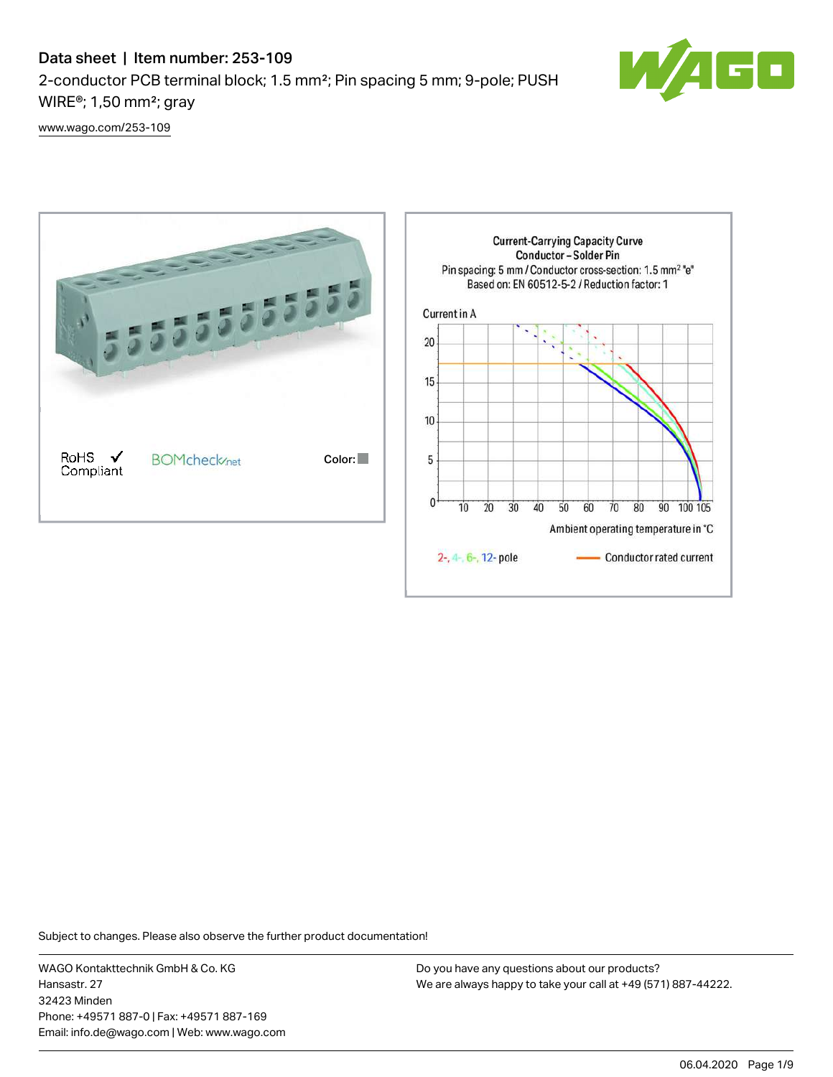## Data sheet | Item number: 253-109 2-conductor PCB terminal block; 1.5 mm²; Pin spacing 5 mm; 9-pole; PUSH WIRE®; 1,50 mm²; gray



[www.wago.com/253-109](http://www.wago.com/253-109)



Subject to changes. Please also observe the further product documentation!

WAGO Kontakttechnik GmbH & Co. KG Hansastr. 27 32423 Minden Phone: +49571 887-0 | Fax: +49571 887-169 Email: info.de@wago.com | Web: www.wago.com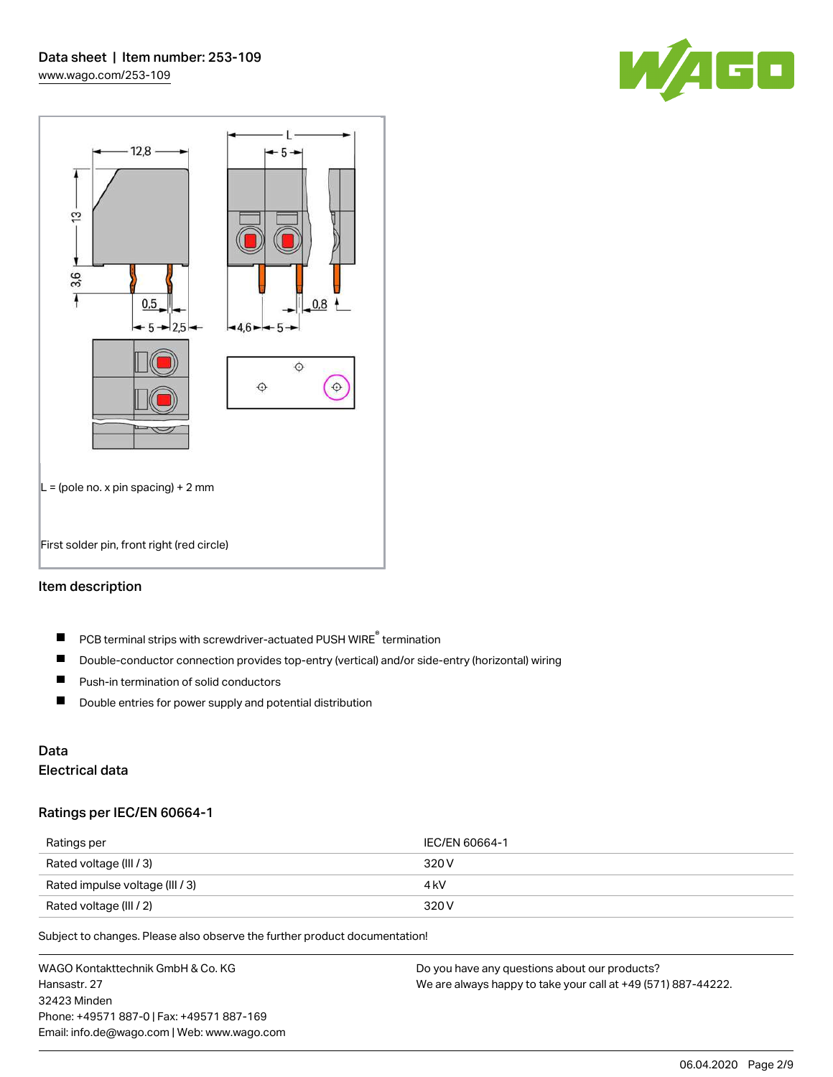



#### Item description

- PCB terminal strips with screwdriver-actuated PUSH WIRE® termination  $\blacksquare$
- $\blacksquare$ Double-conductor connection provides top-entry (vertical) and/or side-entry (horizontal) wiring
- $\blacksquare$ Push-in termination of solid conductors
- $\blacksquare$ Double entries for power supply and potential distribution

# Data

## Electrical data

#### Ratings per IEC/EN 60664-1

| Ratings per                     | IEC/EN 60664-1 |
|---------------------------------|----------------|
| Rated voltage (III / 3)         | 320 V          |
| Rated impulse voltage (III / 3) | 4 kV           |
| Rated voltage (III / 2)         | 320 V          |

Subject to changes. Please also observe the further product documentation!

WAGO Kontakttechnik GmbH & Co. KG Hansastr. 27 32423 Minden Phone: +49571 887-0 | Fax: +49571 887-169 Email: info.de@wago.com | Web: www.wago.com Do you have any questions about our products? We are always happy to take your call at +49 (571) 887-44222.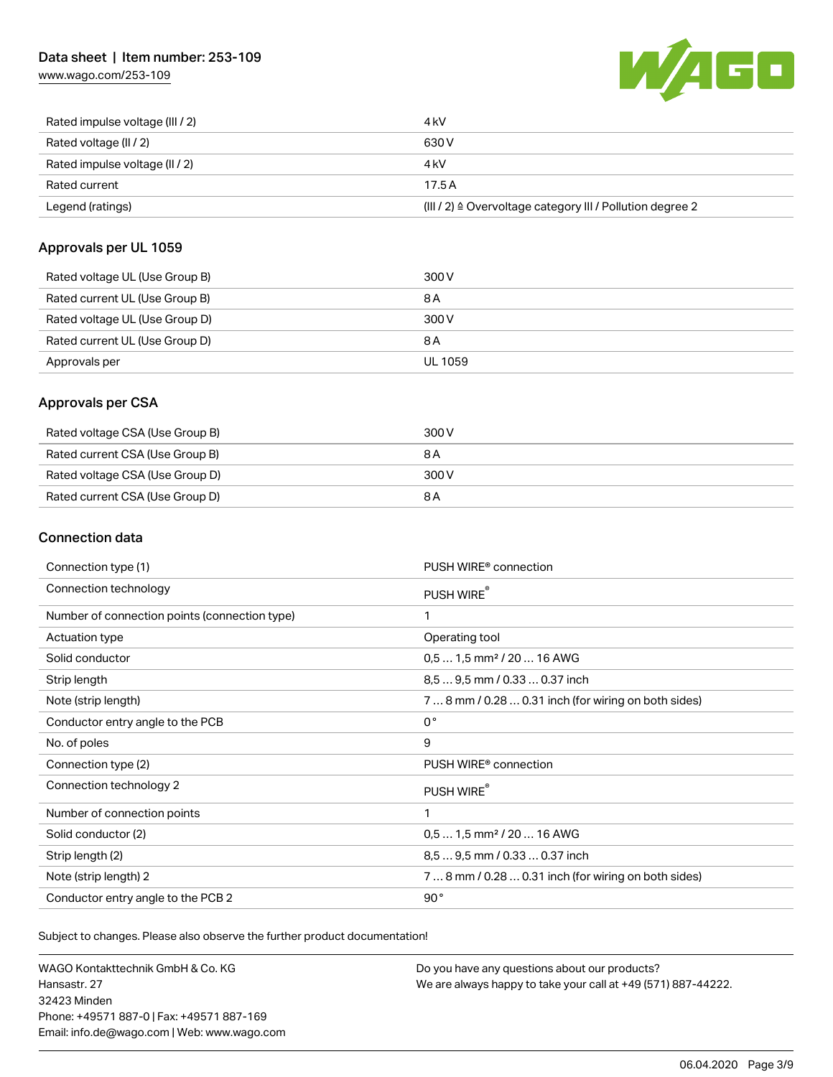## Data sheet | Item number: 253-109

[www.wago.com/253-109](http://www.wago.com/253-109)



| Rated impulse voltage (III / 2) | 4 kV                                                      |
|---------------------------------|-----------------------------------------------------------|
| Rated voltage (II / 2)          | 630 V                                                     |
| Rated impulse voltage (II / 2)  | 4 kV                                                      |
| Rated current                   | 17.5A                                                     |
| Legend (ratings)                | (III / 2) ≙ Overvoltage category III / Pollution degree 2 |

#### Approvals per UL 1059

| Rated voltage UL (Use Group B) | 300 V   |
|--------------------------------|---------|
| Rated current UL (Use Group B) | 8 A     |
| Rated voltage UL (Use Group D) | 300 V   |
| Rated current UL (Use Group D) | 8 A     |
| Approvals per                  | UL 1059 |

### Approvals per CSA

| Rated voltage CSA (Use Group B) | 300 V |
|---------------------------------|-------|
| Rated current CSA (Use Group B) | 8 A   |
| Rated voltage CSA (Use Group D) | 300 V |
| Rated current CSA (Use Group D) | 8 A   |

### Connection data

| Connection type (1)                           | PUSH WIRE <sup>®</sup> connection                    |
|-----------------------------------------------|------------------------------------------------------|
| Connection technology                         | PUSH WIRE®                                           |
| Number of connection points (connection type) | $\mathbf{1}$                                         |
| Actuation type                                | Operating tool                                       |
| Solid conductor                               | $0.51.5$ mm <sup>2</sup> / 20  16 AWG                |
| Strip length                                  | 8.5  9.5 mm / 0.33  0.37 inch                        |
| Note (strip length)                           | 7  8 mm / 0.28  0.31 inch (for wiring on both sides) |
| Conductor entry angle to the PCB              | $0^{\circ}$                                          |
| No. of poles                                  | 9                                                    |
| Connection type (2)                           | PUSH WIRE <sup>®</sup> connection                    |
| Connection technology 2                       | PUSH WIRE®                                           |
| Number of connection points                   | 1                                                    |
| Solid conductor (2)                           | $0.51.5$ mm <sup>2</sup> / 20  16 AWG                |
| Strip length (2)                              | 8.5  9.5 mm / 0.33  0.37 inch                        |
| Note (strip length) 2                         | 7  8 mm / 0.28  0.31 inch (for wiring on both sides) |
| Conductor entry angle to the PCB 2            | 90°                                                  |

Subject to changes. Please also observe the further product documentation!

WAGO Kontakttechnik GmbH & Co. KG Hansastr. 27 32423 Minden Phone: +49571 887-0 | Fax: +49571 887-169 Email: info.de@wago.com | Web: www.wago.com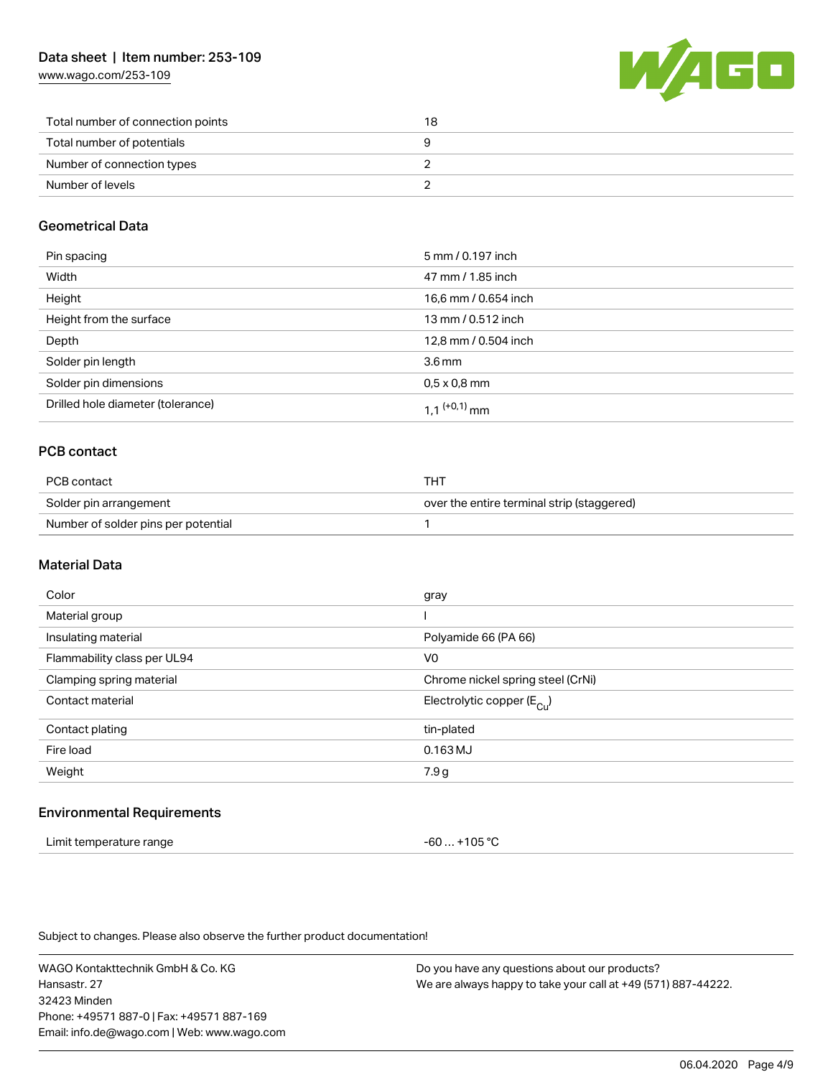[www.wago.com/253-109](http://www.wago.com/253-109)



| Total number of connection points | 18 |
|-----------------------------------|----|
| Total number of potentials        |    |
| Number of connection types        |    |
| Number of levels                  |    |

### Geometrical Data

| Pin spacing                       | 5 mm / 0.197 inch        |
|-----------------------------------|--------------------------|
| Width                             | 47 mm / 1.85 inch        |
| Height                            | 16,6 mm / 0.654 inch     |
| Height from the surface           | 13 mm / 0.512 inch       |
| Depth                             | 12,8 mm / 0.504 inch     |
| Solder pin length                 | 3.6 <sub>mm</sub>        |
| Solder pin dimensions             | $0.5 \times 0.8$ mm      |
| Drilled hole diameter (tolerance) | 1 1 <sup>(+0,1)</sup> mm |

### PCB contact

| PCB contact                         | THT                                        |
|-------------------------------------|--------------------------------------------|
| Solder pin arrangement              | over the entire terminal strip (staggered) |
| Number of solder pins per potential |                                            |

#### Material Data

| Color                       | gray                                  |
|-----------------------------|---------------------------------------|
| Material group              |                                       |
| Insulating material         | Polyamide 66 (PA 66)                  |
| Flammability class per UL94 | V <sub>0</sub>                        |
| Clamping spring material    | Chrome nickel spring steel (CrNi)     |
| Contact material            | Electrolytic copper $(E_{\text{Cl}})$ |
| Contact plating             | tin-plated                            |
| Fire load                   | $0.163$ MJ                            |
| Weight                      | 7.9 g                                 |
|                             |                                       |

#### Environmental Requirements

| Limit temperature range | -60  +105 °C |
|-------------------------|--------------|
|-------------------------|--------------|

Subject to changes. Please also observe the further product documentation!

WAGO Kontakttechnik GmbH & Co. KG Hansastr. 27 32423 Minden Phone: +49571 887-0 | Fax: +49571 887-169 Email: info.de@wago.com | Web: www.wago.com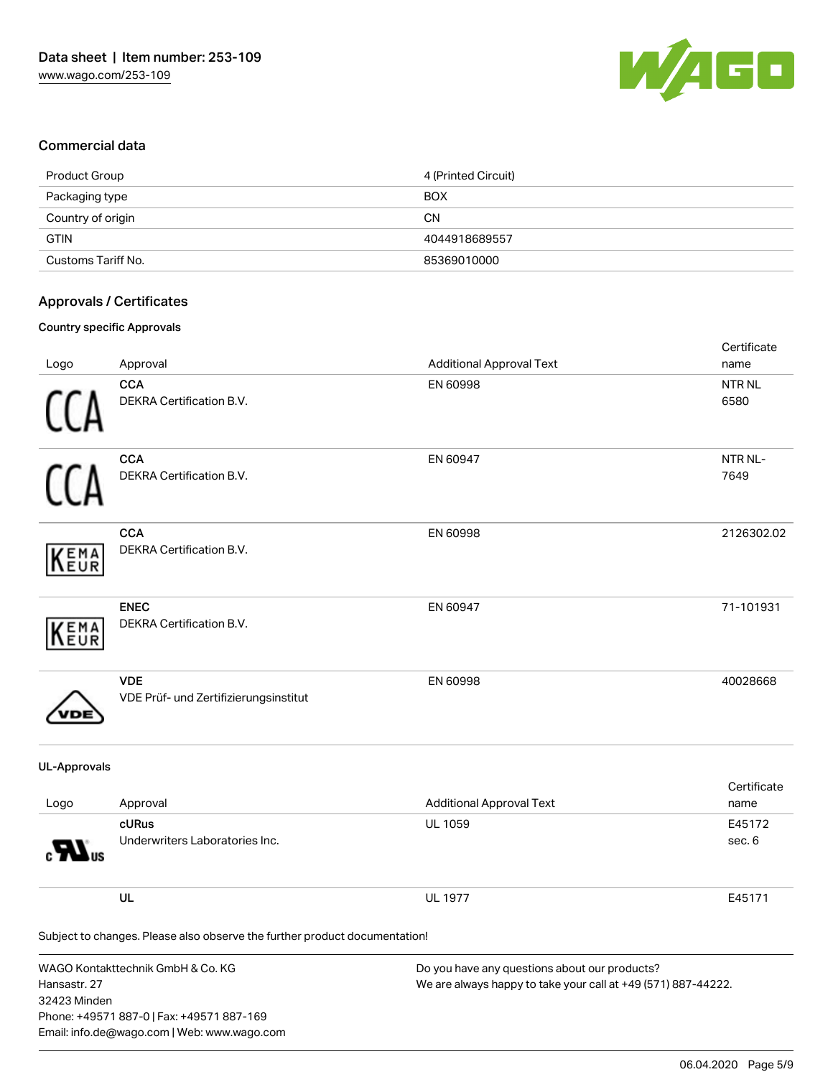

#### Commercial data

| Product Group      | 4 (Printed Circuit) |
|--------------------|---------------------|
| Packaging type     | <b>BOX</b>          |
| Country of origin  | <b>CN</b>           |
| <b>GTIN</b>        | 4044918689557       |
| Customs Tariff No. | 85369010000         |

#### Approvals / Certificates

#### Country specific Approvals

| Logo                         | Approval                                                                                                                      | <b>Additional Approval Text</b>                                                                                | Certificate<br>name  |
|------------------------------|-------------------------------------------------------------------------------------------------------------------------------|----------------------------------------------------------------------------------------------------------------|----------------------|
|                              | <b>CCA</b><br>DEKRA Certification B.V.                                                                                        | EN 60998                                                                                                       | <b>NTRNL</b><br>6580 |
|                              | <b>CCA</b><br>DEKRA Certification B.V.                                                                                        | EN 60947                                                                                                       | NTR NL-<br>7649      |
| EMA<br>EUR                   | <b>CCA</b><br>DEKRA Certification B.V.                                                                                        | EN 60998                                                                                                       | 2126302.02           |
| EMA<br>EUR                   | <b>ENEC</b><br>DEKRA Certification B.V.                                                                                       | EN 60947                                                                                                       | 71-101931            |
|                              | <b>VDE</b><br>VDE Prüf- und Zertifizierungsinstitut                                                                           | EN 60998                                                                                                       | 40028668             |
| <b>UL-Approvals</b>          |                                                                                                                               |                                                                                                                |                      |
| Logo                         | Approval                                                                                                                      | <b>Additional Approval Text</b>                                                                                | Certificate<br>name  |
|                              | cURus<br>Underwriters Laboratories Inc.                                                                                       | UL 1059                                                                                                        | E45172<br>sec. 6     |
|                              | UL                                                                                                                            | <b>UL 1977</b>                                                                                                 | E45171               |
|                              | Subject to changes. Please also observe the further product documentation!                                                    |                                                                                                                |                      |
| Hansastr. 27<br>32423 Minden | WAGO Kontakttechnik GmbH & Co. KG<br>Phone: +49571 887-0   Fax: +49571 887-169<br>Email: info.de@wago.com   Web: www.wago.com | Do you have any questions about our products?<br>We are always happy to take your call at +49 (571) 887-44222. |                      |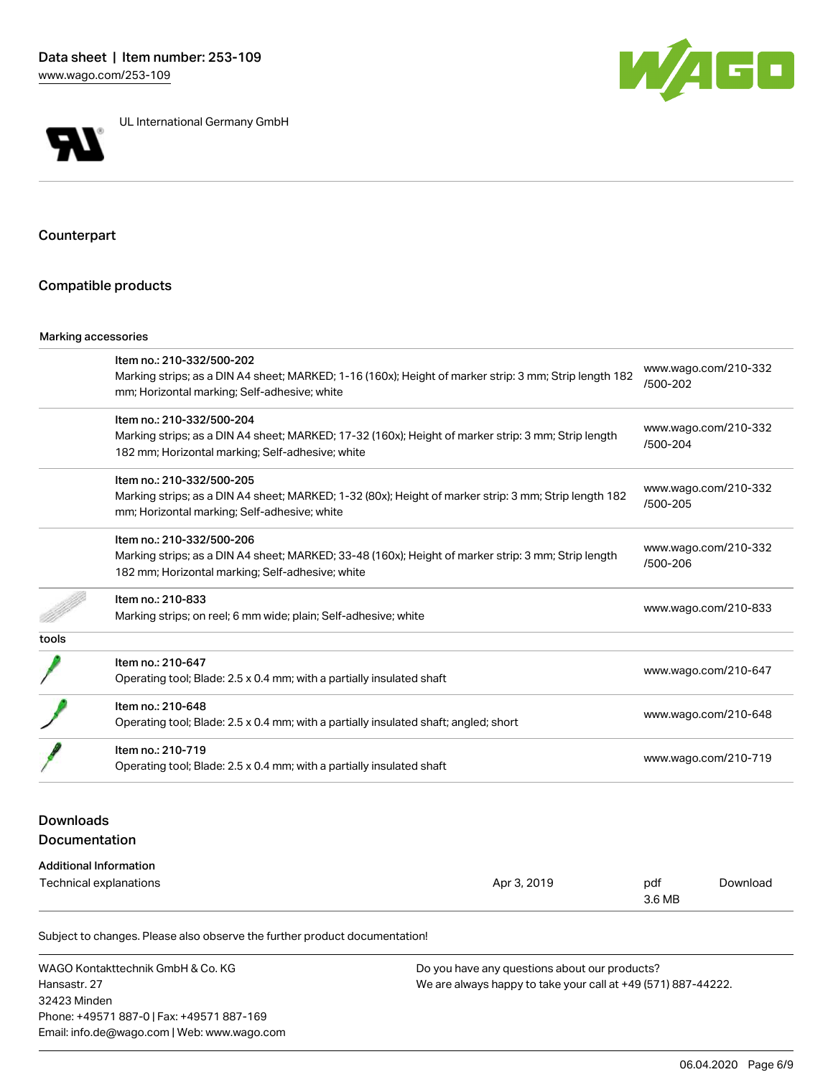



UL International Germany GmbH

## Counterpart

#### Compatible products

#### Marking accessories

|       | Item no.: 210-332/500-202                                                                              | www.wago.com/210-332             |  |
|-------|--------------------------------------------------------------------------------------------------------|----------------------------------|--|
|       | Marking strips; as a DIN A4 sheet; MARKED; 1-16 (160x); Height of marker strip: 3 mm; Strip length 182 | /500-202                         |  |
|       | mm; Horizontal marking; Self-adhesive; white                                                           |                                  |  |
|       | Item no.: 210-332/500-204                                                                              | www.wago.com/210-332             |  |
|       | Marking strips; as a DIN A4 sheet; MARKED; 17-32 (160x); Height of marker strip: 3 mm; Strip length    | /500-204                         |  |
|       | 182 mm; Horizontal marking; Self-adhesive; white                                                       |                                  |  |
|       | Item no.: 210-332/500-205                                                                              |                                  |  |
|       | Marking strips; as a DIN A4 sheet; MARKED; 1-32 (80x); Height of marker strip: 3 mm; Strip length 182  | www.wago.com/210-332             |  |
|       | mm; Horizontal marking; Self-adhesive; white                                                           | /500-205                         |  |
|       | Item no.: 210-332/500-206                                                                              |                                  |  |
|       | Marking strips; as a DIN A4 sheet; MARKED; 33-48 (160x); Height of marker strip: 3 mm; Strip length    | www.wago.com/210-332<br>/500-206 |  |
|       | 182 mm; Horizontal marking; Self-adhesive; white                                                       |                                  |  |
|       | Item no.: 210-833                                                                                      |                                  |  |
|       | Marking strips; on reel; 6 mm wide; plain; Self-adhesive; white                                        | www.wago.com/210-833             |  |
| tools |                                                                                                        |                                  |  |
|       | Item no.: 210-647                                                                                      | www.wago.com/210-647             |  |
|       | Operating tool; Blade: 2.5 x 0.4 mm; with a partially insulated shaft                                  |                                  |  |
|       | Item no.: 210-648                                                                                      |                                  |  |
|       | Operating tool; Blade: 2.5 x 0.4 mm; with a partially insulated shaft; angled; short                   | www.wago.com/210-648             |  |
|       | Item no.: 210-719                                                                                      |                                  |  |
|       | Operating tool; Blade: 2.5 x 0.4 mm; with a partially insulated shaft                                  | www.wago.com/210-719             |  |

## Downloads Documentation

#### Additional Information

| Technical explanations | Apr 3, 2019 | pdf    | Download |
|------------------------|-------------|--------|----------|
|                        |             | 3.6 MB |          |

Subject to changes. Please also observe the further product documentation!

WAGO Kontakttechnik GmbH & Co. KG Hansastr. 27 32423 Minden Phone: +49571 887-0 | Fax: +49571 887-169 Email: info.de@wago.com | Web: www.wago.com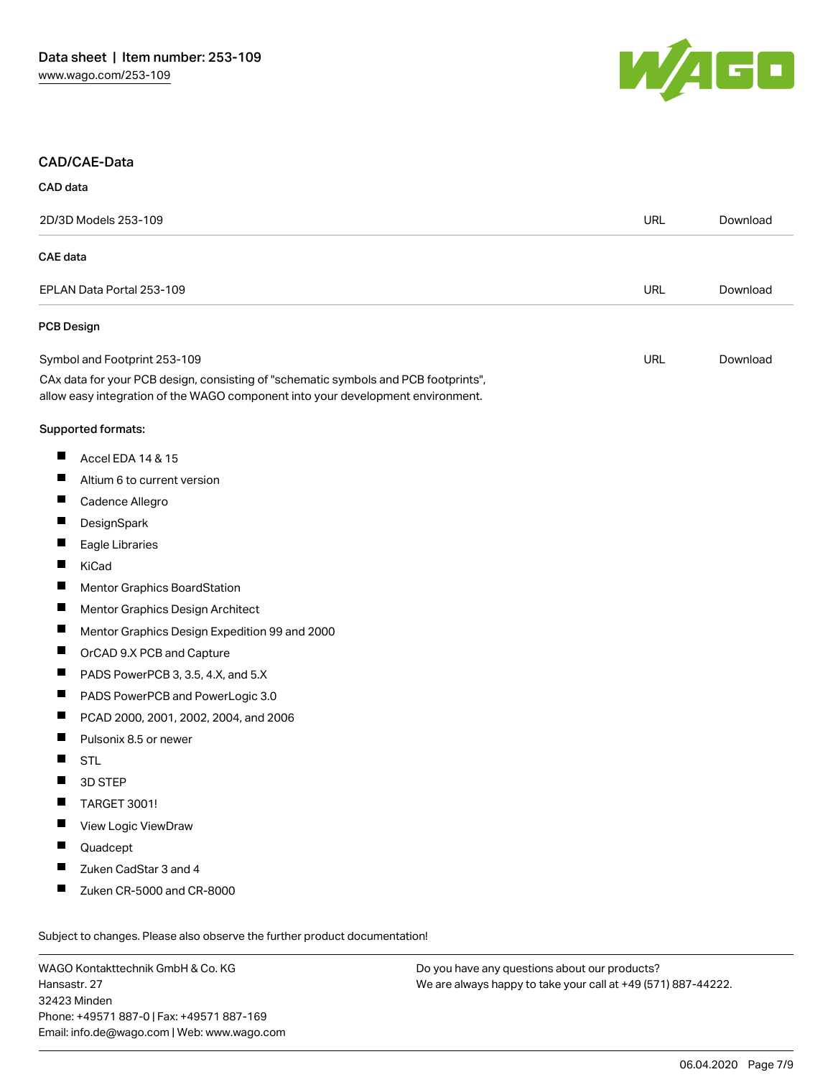

#### CAD/CAE-Data

| 2D/3D Models 253-109                                                                                                                                                   |  | Download |
|------------------------------------------------------------------------------------------------------------------------------------------------------------------------|--|----------|
| <b>CAE</b> data                                                                                                                                                        |  |          |
| EPLAN Data Portal 253-109                                                                                                                                              |  | Download |
| <b>PCB Design</b>                                                                                                                                                      |  |          |
| Symbol and Footprint 253-109                                                                                                                                           |  | Download |
| CAx data for your PCB design, consisting of "schematic symbols and PCB footprints",<br>allow easy integration of the WAGO component into your development environment. |  |          |
| Supported formats:                                                                                                                                                     |  |          |
| ш<br>Accel EDA 14 & 15                                                                                                                                                 |  |          |
| Altium 6 to current version                                                                                                                                            |  |          |
| ш<br>Cadence Allegro                                                                                                                                                   |  |          |
| ш<br>DesignSpark                                                                                                                                                       |  |          |
| Eagle Libraries                                                                                                                                                        |  |          |
| П<br>KiCad                                                                                                                                                             |  |          |
| Ш<br><b>Mentor Graphics BoardStation</b>                                                                                                                               |  |          |
| Mentor Graphics Design Architect                                                                                                                                       |  |          |
| Ц<br>Mentor Graphics Design Expedition 99 and 2000                                                                                                                     |  |          |
| ш<br>OrCAD 9.X PCB and Capture                                                                                                                                         |  |          |
| П<br>PADS PowerPCB 3, 3.5, 4.X, and 5.X                                                                                                                                |  |          |
| ш<br>PADS PowerPCB and PowerLogic 3.0                                                                                                                                  |  |          |
| Ш<br>PCAD 2000, 2001, 2002, 2004, and 2006                                                                                                                             |  |          |
| П<br>Pulsonix 8.5 or newer                                                                                                                                             |  |          |
| H<br><b>STL</b>                                                                                                                                                        |  |          |
| 3D STEP                                                                                                                                                                |  |          |
| H<br><b>TARGET 3001!</b>                                                                                                                                               |  |          |
| View Logic ViewDraw<br>П                                                                                                                                               |  |          |
| Quadcept                                                                                                                                                               |  |          |
| Zuken CadStar 3 and 4<br>ш                                                                                                                                             |  |          |
| ш<br>Zuken CR-5000 and CR-8000                                                                                                                                         |  |          |
| Subject to changes. Please also observe the further product documentation!                                                                                             |  |          |

WAGO Kontakttechnik GmbH & Co. KG Hansastr. 27 32423 Minden Phone: +49571 887-0 | Fax: +49571 887-169 Email: info.de@wago.com | Web: www.wago.com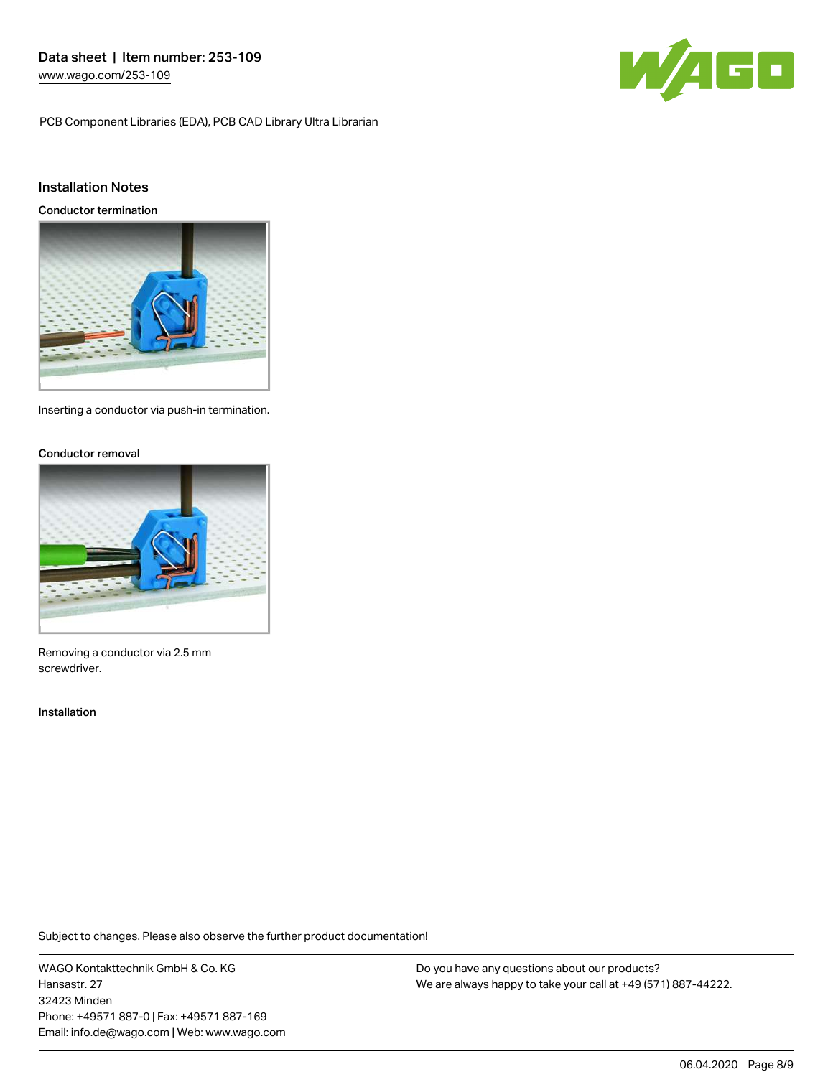PCB Component Libraries (EDA), PCB CAD Library Ultra Librarian



#### Installation Notes

Conductor termination



Inserting a conductor via push-in termination.

#### Conductor removal



Removing a conductor via 2.5 mm screwdriver.

#### Installation

Subject to changes. Please also observe the further product documentation!

WAGO Kontakttechnik GmbH & Co. KG Hansastr. 27 32423 Minden Phone: +49571 887-0 | Fax: +49571 887-169 Email: info.de@wago.com | Web: www.wago.com